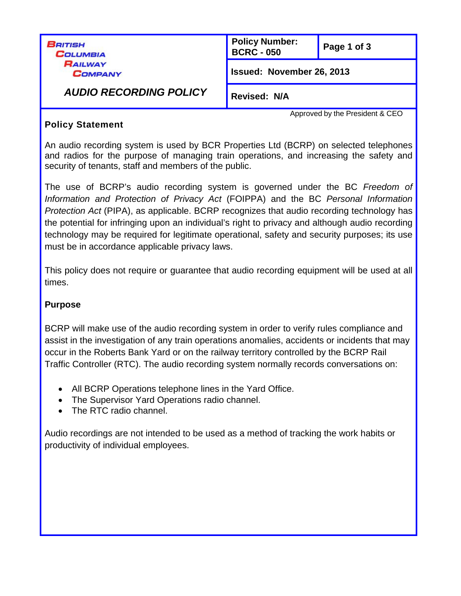| British<br>COLUMBIA<br>RAILWAY<br><b>COMPANY</b><br><b>AUDIO RECORDING POLICY</b> | <b>Policy Number:</b><br><b>BCRC - 050</b> | Page 1 of 3                     |
|-----------------------------------------------------------------------------------|--------------------------------------------|---------------------------------|
|                                                                                   | Issued: November 26, 2013                  |                                 |
|                                                                                   | <b>Revised: N/A</b>                        |                                 |
|                                                                                   |                                            | Approved by the President & CEO |

## **Policy Statement**

An audio recording system is used by BCR Properties Ltd (BCRP) on selected telephones and radios for the purpose of managing train operations, and increasing the safety and security of tenants, staff and members of the public.

The use of BCRP's audio recording system is governed under the BC *Freedom of Information and Protection of Privacy Act* (FOIPPA) and the BC *Personal Information Protection Act* (PIPA), as applicable. BCRP recognizes that audio recording technology has the potential for infringing upon an individual's right to privacy and although audio recording technology may be required for legitimate operational, safety and security purposes; its use must be in accordance applicable privacy laws.

This policy does not require or guarantee that audio recording equipment will be used at all times.

### **Purpose**

BCRP will make use of the audio recording system in order to verify rules compliance and assist in the investigation of any train operations anomalies, accidents or incidents that may occur in the Roberts Bank Yard or on the railway territory controlled by the BCRP Rail Traffic Controller (RTC). The audio recording system normally records conversations on:

- All BCRP Operations telephone lines in the Yard Office.
- The Supervisor Yard Operations radio channel.
- The RTC radio channel.

Audio recordings are not intended to be used as a method of tracking the work habits or productivity of individual employees.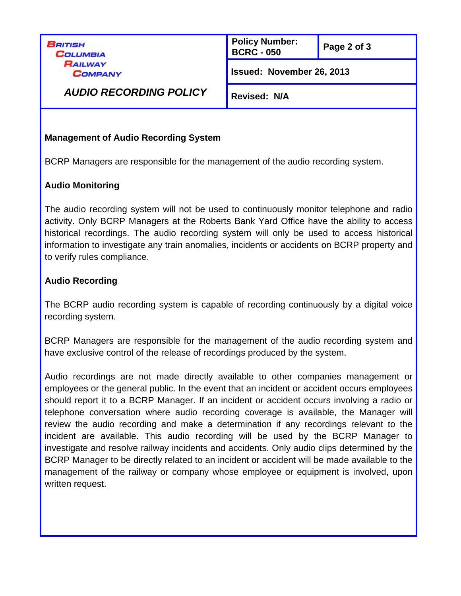BRITISH **COLUMBIA** RAILWAY **COMPANY** 

**Policy Number: BCRC - <sup>050</sup> Page <sup>2</sup> of 3**

**Issued: November 26, 2013**

*AUDIO RECORDING POLICY*

**Revised: N/A**

# **Management of Audio Recording System**

BCRP Managers are responsible for the management of the audio recording system.

# **Audio Monitoring**

The audio recording system will not be used to continuously monitor telephone and radio activity. Only BCRP Managers at the Roberts Bank Yard Office have the ability to access historical recordings. The audio recording system will only be used to access historical information to investigate any train anomalies, incidents or accidents on BCRP property and to verify rules compliance.

# **Audio Recording**

The BCRP audio recording system is capable of recording continuously by a digital voice recording system.

BCRP Managers are responsible for the management of the audio recording system and have exclusive control of the release of recordings produced by the system.

Audio recordings are not made directly available to other companies management or employees or the general public. In the event that an incident or accident occurs employees should report it to a BCRP Manager. If an incident or accident occurs involving a radio or telephone conversation where audio recording coverage is available, the Manager will review the audio recording and make a determination if any recordings relevant to the incident are available. This audio recording will be used by the BCRP Manager to investigate and resolve railway incidents and accidents. Only audio clips determined by the BCRP Manager to be directly related to an incident or accident will be made available to the management of the railway or company whose employee or equipment is involved, upon written request.